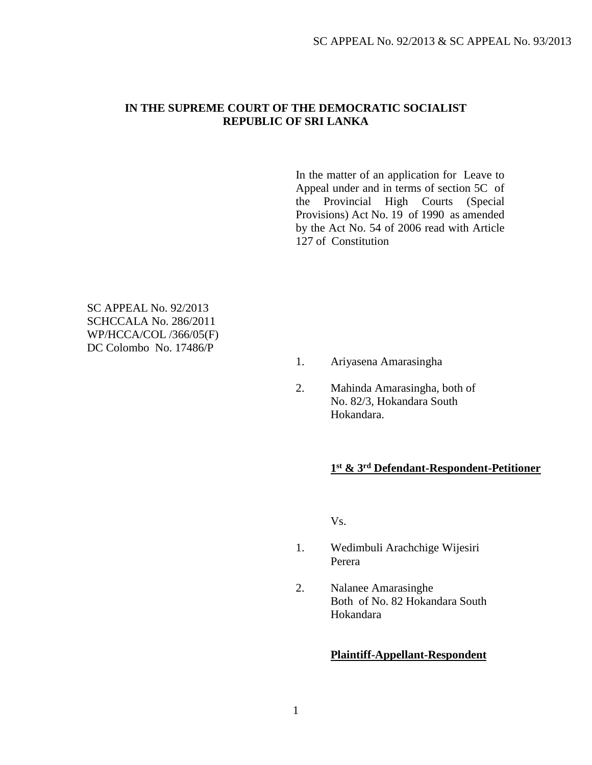### **IN THE SUPREME COURT OF THE DEMOCRATIC SOCIALIST REPUBLIC OF SRI LANKA**

In the matter of an application for Leave to Appeal under and in terms of section 5C of the Provincial High Courts (Special Provisions) Act No. 19 of 1990 as amended by the Act No. 54 of 2006 read with Article 127 of Constitution

SC APPEAL No. 92/2013 SCHCCALA No. 286/2011 WP/HCCA/COL /366/05(F) DC Colombo No. 17486/P

- 1. Ariyasena Amarasingha
- 2. Mahinda Amarasingha, both of No. 82/3, Hokandara South Hokandara.

## **1 st & 3rd Defendant-Respondent-Petitioner**

Vs.

- 1. Wedimbuli Arachchige Wijesiri Perera
- 2. Nalanee Amarasinghe Both of No. 82 Hokandara South Hokandara

#### **Plaintiff-Appellant-Respondent**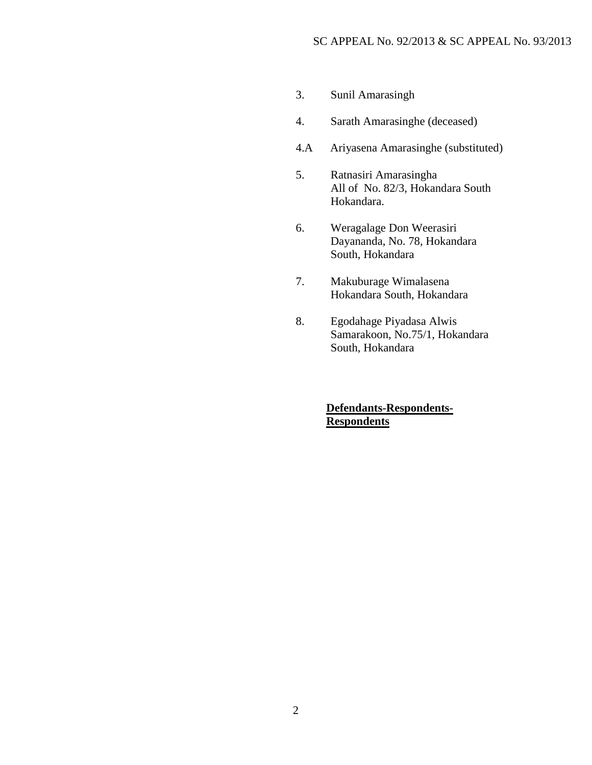- 3. Sunil Amarasingh
- 4. Sarath Amarasinghe (deceased)
- 4.A Ariyasena Amarasinghe (substituted)
- 5. Ratnasiri Amarasingha All of No. 82/3, Hokandara South Hokandara.
- 6. Weragalage Don Weerasiri Dayananda, No. 78, Hokandara South, Hokandara
- 7. Makuburage Wimalasena Hokandara South, Hokandara
- 8. Egodahage Piyadasa Alwis Samarakoon, No.75/1, Hokandara South, Hokandara

## **Defendants-Respondents-Respondents**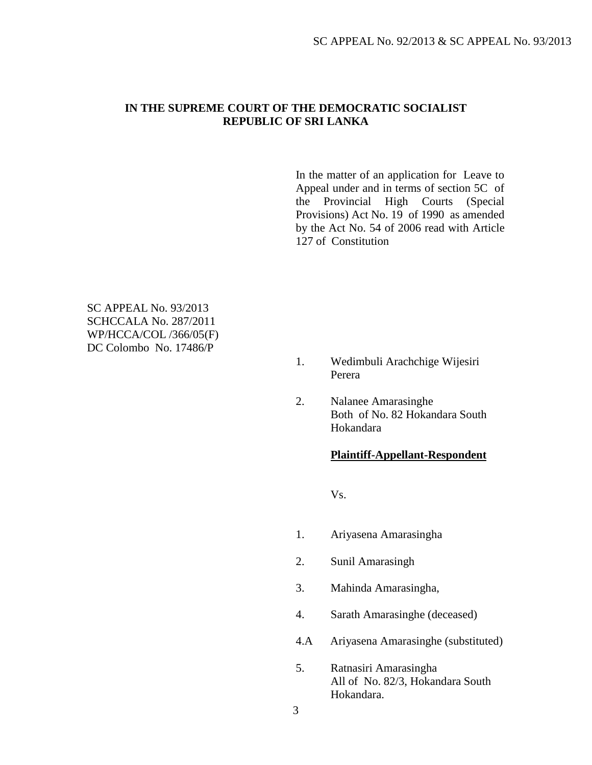### **IN THE SUPREME COURT OF THE DEMOCRATIC SOCIALIST REPUBLIC OF SRI LANKA**

In the matter of an application for Leave to Appeal under and in terms of section 5C of the Provincial High Courts (Special Provisions) Act No. 19 of 1990 as amended by the Act No. 54 of 2006 read with Article 127 of Constitution

SC APPEAL No. 93/2013 SCHCCALA No. 287/2011 WP/HCCA/COL /366/05(F) DC Colombo No. 17486/P

- 1. Wedimbuli Arachchige Wijesiri Perera
- 2. Nalanee Amarasinghe Both of No. 82 Hokandara South Hokandara

#### **Plaintiff-Appellant-Respondent**

Vs.

- 1. Ariyasena Amarasingha
- 2. Sunil Amarasingh
- 3. Mahinda Amarasingha,
- 4. Sarath Amarasinghe (deceased)
- 4.A Ariyasena Amarasinghe (substituted)
- 5. Ratnasiri Amarasingha All of No. 82/3, Hokandara South Hokandara.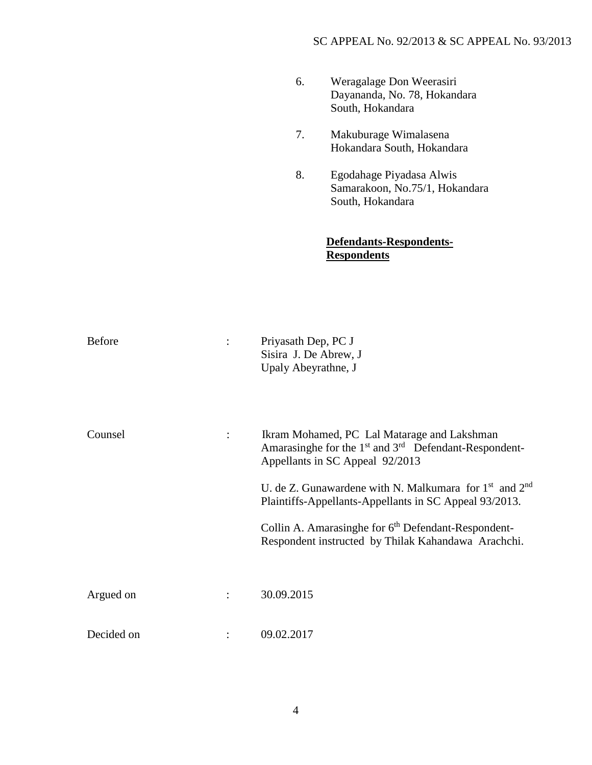| 6. | Weragalage Don Weerasiri     |
|----|------------------------------|
|    | Dayananda, No. 78, Hokandara |
|    | South, Hokandara             |

- 7. Makuburage Wimalasena Hokandara South, Hokandara
- 8. Egodahage Piyadasa Alwis Samarakoon, No.75/1, Hokandara South, Hokandara

# **Defendants-Respondents-Respondents**

| <b>Before</b> | Priyasath Dep, PC J<br>Sisira J. De Abrew, J<br>Upaly Abeyrathne, J                                                                                                                                                                                                                                                                                                                                               |
|---------------|-------------------------------------------------------------------------------------------------------------------------------------------------------------------------------------------------------------------------------------------------------------------------------------------------------------------------------------------------------------------------------------------------------------------|
| Counsel       | Ikram Mohamed, PC Lal Matarage and Lakshman<br>Amarasinghe for the 1 <sup>st</sup> and 3 <sup>rd</sup> Defendant-Respondent-<br>Appellants in SC Appeal 92/2013<br>U. de Z. Gunawardene with N. Malkumara for $1st$ and $2nd$<br>Plaintiffs-Appellants-Appellants in SC Appeal 93/2013.<br>Collin A. Amarasinghe for 6 <sup>th</sup> Defendant-Respondent-<br>Respondent instructed by Thilak Kahandawa Arachchi. |
| Argued on     | 30.09.2015                                                                                                                                                                                                                                                                                                                                                                                                        |
| Decided on    | 09.02.2017                                                                                                                                                                                                                                                                                                                                                                                                        |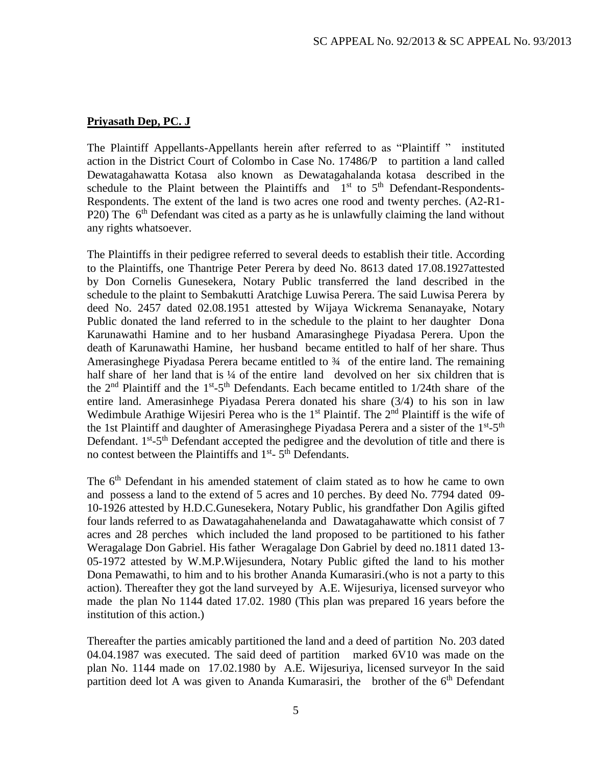## **Priyasath Dep, PC. J**

The Plaintiff Appellants-Appellants herein after referred to as "Plaintiff " instituted action in the District Court of Colombo in Case No. 17486/P to partition a land called Dewatagahawatta Kotasa also known as Dewatagahalanda kotasa described in the schedule to the Plaint between the Plaintiffs and  $1<sup>st</sup>$  to  $5<sup>th</sup>$  Defendant-Respondents-Respondents. The extent of the land is two acres one rood and twenty perches. (A2-R1- P20) The 6<sup>th</sup> Defendant was cited as a party as he is unlawfully claiming the land without any rights whatsoever.

The Plaintiffs in their pedigree referred to several deeds to establish their title. According to the Plaintiffs, one Thantrige Peter Perera by deed No. 8613 dated 17.08.1927attested by Don Cornelis Gunesekera, Notary Public transferred the land described in the schedule to the plaint to Sembakutti Aratchige Luwisa Perera. The said Luwisa Perera by deed No. 2457 dated 02.08.1951 attested by Wijaya Wickrema Senanayake, Notary Public donated the land referred to in the schedule to the plaint to her daughter Dona Karunawathi Hamine and to her husband Amarasinghege Piyadasa Perera. Upon the death of Karunawathi Hamine, her husband became entitled to half of her share. Thus Amerasinghege Piyadasa Perera became entitled to ¾ of the entire land. The remaining half share of her land that is ¼ of the entire land devolved on her six children that is the  $2<sup>nd</sup>$  Plaintiff and the 1<sup>st</sup>-5<sup>th</sup> Defendants. Each became entitled to 1/24th share of the entire land. Amerasinhege Piyadasa Perera donated his share (3/4) to his son in law Wedimbule Arathige Wijesiri Perea who is the  $1<sup>st</sup>$  Plaintif. The  $2<sup>nd</sup>$  Plaintiff is the wife of the 1st Plaintiff and daughter of Amerasinghege Piyadasa Perera and a sister of the  $1<sup>st</sup> - 5<sup>th</sup>$ Defendant.  $1<sup>st</sup> - 5<sup>th</sup>$  Defendant accepted the pedigree and the devolution of title and there is no contest between the Plaintiffs and  $1<sup>st</sup>$ -  $5<sup>th</sup>$  Defendants.

The 6<sup>th</sup> Defendant in his amended statement of claim stated as to how he came to own and possess a land to the extend of 5 acres and 10 perches. By deed No. 7794 dated 09- 10-1926 attested by H.D.C.Gunesekera, Notary Public, his grandfather Don Agilis gifted four lands referred to as Dawatagahahenelanda and Dawatagahawatte which consist of 7 acres and 28 perches which included the land proposed to be partitioned to his father Weragalage Don Gabriel. His father Weragalage Don Gabriel by deed no.1811 dated 13- 05-1972 attested by W.M.P.Wijesundera, Notary Public gifted the land to his mother Dona Pemawathi, to him and to his brother Ananda Kumarasiri.(who is not a party to this action). Thereafter they got the land surveyed by A.E. Wijesuriya, licensed surveyor who made the plan No 1144 dated 17.02. 1980 (This plan was prepared 16 years before the institution of this action.)

Thereafter the parties amicably partitioned the land and a deed of partition No. 203 dated 04.04.1987 was executed. The said deed of partition marked 6V10 was made on the plan No. 1144 made on 17.02.1980 by A.E. Wijesuriya, licensed surveyor In the said partition deed lot A was given to Ananda Kumarasiri, the brother of the 6<sup>th</sup> Defendant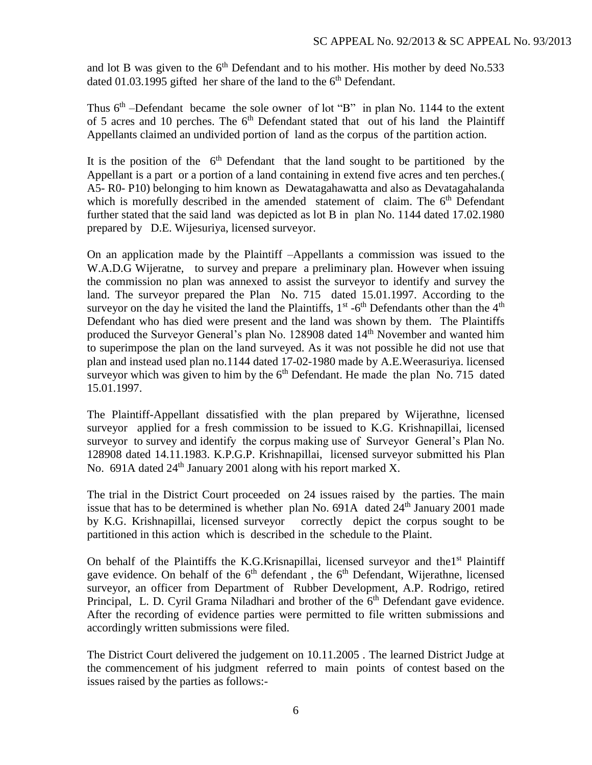and lot B was given to the  $6<sup>th</sup>$  Defendant and to his mother. His mother by deed No.533 dated 01.03.1995 gifted her share of the land to the  $6<sup>th</sup>$  Defendant.

Thus  $6<sup>th</sup>$  -Defendant became the sole owner of lot "B" in plan No. 1144 to the extent of 5 acres and 10 perches. The  $6<sup>th</sup>$  Defendant stated that out of his land the Plaintiff Appellants claimed an undivided portion of land as the corpus of the partition action.

It is the position of the  $6<sup>th</sup>$  Defendant that the land sought to be partitioned by the Appellant is a part or a portion of a land containing in extend five acres and ten perches.( A5- R0- P10) belonging to him known as Dewatagahawatta and also as Devatagahalanda which is morefully described in the amended statement of claim. The 6<sup>th</sup> Defendant further stated that the said land was depicted as lot B in plan No. 1144 dated 17.02.1980 prepared by D.E. Wijesuriya, licensed surveyor.

On an application made by the Plaintiff –Appellants a commission was issued to the W.A.D.G Wijeratne, to survey and prepare a preliminary plan. However when issuing the commission no plan was annexed to assist the surveyor to identify and survey the land. The surveyor prepared the Plan No. 715 dated 15.01.1997. According to the surveyor on the day he visited the land the Plaintiffs,  $1<sup>st</sup>$  -6<sup>th</sup> Defendants other than the 4<sup>th</sup> Defendant who has died were present and the land was shown by them. The Plaintiffs produced the Surveyor General's plan No. 128908 dated 14<sup>th</sup> November and wanted him to superimpose the plan on the land surveyed. As it was not possible he did not use that plan and instead used plan no.1144 dated 17-02-1980 made by A.E.Weerasuriya. licensed surveyor which was given to him by the  $6<sup>th</sup>$  Defendant. He made the plan No. 715 dated 15.01.1997.

The Plaintiff-Appellant dissatisfied with the plan prepared by Wijerathne, licensed surveyor applied for a fresh commission to be issued to K.G. Krishnapillai, licensed surveyor to survey and identify the corpus making use of Surveyor General's Plan No. 128908 dated 14.11.1983. K.P.G.P. Krishnapillai, licensed surveyor submitted his Plan No. 691A dated  $24<sup>th</sup>$  January 2001 along with his report marked X.

The trial in the District Court proceeded on 24 issues raised by the parties. The main issue that has to be determined is whether plan No.  $691A$  dated  $24<sup>th</sup>$  January 2001 made by K.G. Krishnapillai, licensed surveyor correctly depict the corpus sought to be partitioned in this action which is described in the schedule to the Plaint.

On behalf of the Plaintiffs the K.G.Krisnapillai, licensed surveyor and the1<sup>st</sup> Plaintiff gave evidence. On behalf of the  $6<sup>th</sup>$  defendant, the  $6<sup>th</sup>$  Defendant, Wijerathne, licensed surveyor, an officer from Department of Rubber Development, A.P. Rodrigo, retired Principal, L. D. Cyril Grama Niladhari and brother of the  $6<sup>th</sup>$  Defendant gave evidence. After the recording of evidence parties were permitted to file written submissions and accordingly written submissions were filed.

The District Court delivered the judgement on 10.11.2005 . The learned District Judge at the commencement of his judgment referred to main points of contest based on the issues raised by the parties as follows:-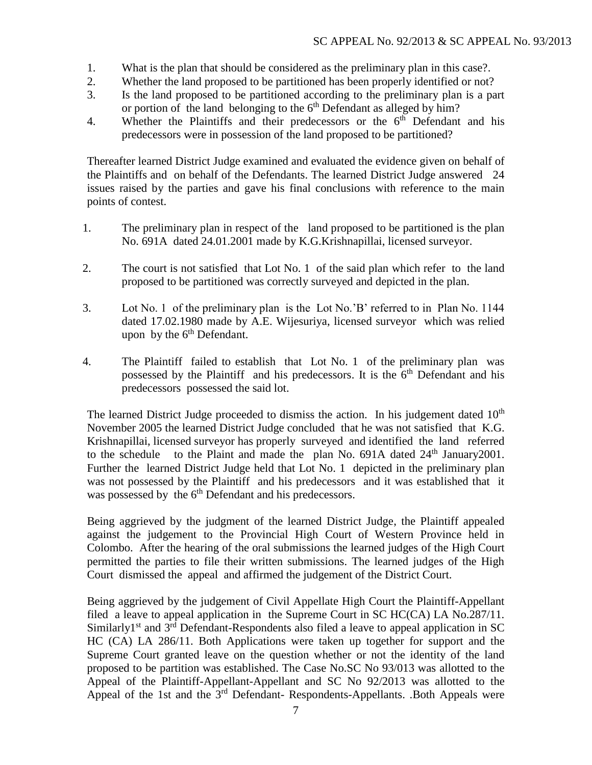- 1. What is the plan that should be considered as the preliminary plan in this case?.
- 2. Whether the land proposed to be partitioned has been properly identified or not?
- 3. Is the land proposed to be partitioned according to the preliminary plan is a part or portion of the land belonging to the  $6<sup>th</sup>$  Defendant as alleged by him?
- 4. Whether the Plaintiffs and their predecessors or the 6<sup>th</sup> Defendant and his predecessors were in possession of the land proposed to be partitioned?

Thereafter learned District Judge examined and evaluated the evidence given on behalf of the Plaintiffs and on behalf of the Defendants. The learned District Judge answered 24 issues raised by the parties and gave his final conclusions with reference to the main points of contest.

- 1. The preliminary plan in respect of the land proposed to be partitioned is the plan No. 691A dated 24.01.2001 made by K.G.Krishnapillai, licensed surveyor.
- 2. The court is not satisfied that Lot No. 1 of the said plan which refer to the land proposed to be partitioned was correctly surveyed and depicted in the plan.
- 3. Lot No. 1 of the preliminary plan is the Lot No.'B' referred to in Plan No. 1144 dated 17.02.1980 made by A.E. Wijesuriya, licensed surveyor which was relied upon by the  $6<sup>th</sup>$  Defendant.
- 4. The Plaintiff failed to establish that Lot No. 1 of the preliminary plan was possessed by the Plaintiff and his predecessors. It is the  $6<sup>th</sup>$  Defendant and his predecessors possessed the said lot.

The learned District Judge proceeded to dismiss the action. In his judgement dated  $10<sup>th</sup>$ November 2005 the learned District Judge concluded that he was not satisfied that K.G. Krishnapillai, licensed surveyor has properly surveyed and identified the land referred to the schedule to the Plaint and made the plan No.  $691A$  dated  $24<sup>th</sup>$  January 2001. Further the learned District Judge held that Lot No. 1 depicted in the preliminary plan was not possessed by the Plaintiff and his predecessors and it was established that it was possessed by the  $6<sup>th</sup>$  Defendant and his predecessors.

Being aggrieved by the judgment of the learned District Judge, the Plaintiff appealed against the judgement to the Provincial High Court of Western Province held in Colombo. After the hearing of the oral submissions the learned judges of the High Court permitted the parties to file their written submissions. The learned judges of the High Court dismissed the appeal and affirmed the judgement of the District Court.

Being aggrieved by the judgement of Civil Appellate High Court the Plaintiff-Appellant filed a leave to appeal application in the Supreme Court in SC HC(CA) LA No.287/11. Similarly<sup>1st</sup> and  $3<sup>rd</sup>$  Defendant-Respondents also filed a leave to appeal application in SC HC (CA) LA 286/11. Both Applications were taken up together for support and the Supreme Court granted leave on the question whether or not the identity of the land proposed to be partition was established. The Case No.SC No 93/013 was allotted to the Appeal of the Plaintiff-Appellant-Appellant and SC No 92/2013 was allotted to the Appeal of the 1st and the 3<sup>rd</sup> Defendant- Respondents-Appellants. .Both Appeals were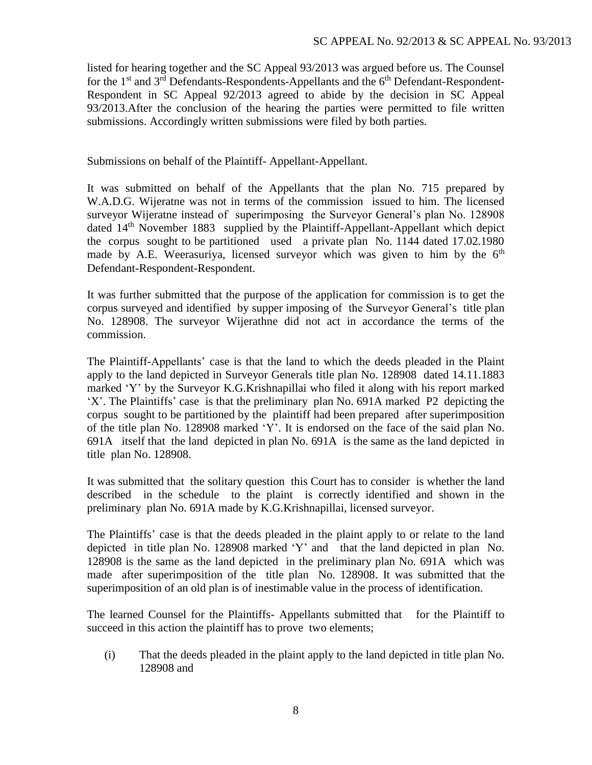listed for hearing together and the SC Appeal 93/2013 was argued before us. The Counsel for the 1<sup>st</sup> and 3<sup>rd</sup> Defendants-Respondents-Appellants and the 6<sup>th</sup> Defendant-Respondent-Respondent in SC Appeal 92/2013 agreed to abide by the decision in SC Appeal 93/2013.After the conclusion of the hearing the parties were permitted to file written submissions. Accordingly written submissions were filed by both parties.

Submissions on behalf of the Plaintiff- Appellant-Appellant.

It was submitted on behalf of the Appellants that the plan No. 715 prepared by W.A.D.G. Wijeratne was not in terms of the commission issued to him. The licensed surveyor Wijeratne instead of superimposing the Surveyor General's plan No. 128908 dated 14<sup>th</sup> November 1883 supplied by the Plaintiff-Appellant-Appellant which depict the corpus sought to be partitioned used a private plan No. 1144 dated 17.02.1980 made by A.E. Weerasuriya, licensed surveyor which was given to him by the  $6<sup>th</sup>$ Defendant-Respondent-Respondent.

It was further submitted that the purpose of the application for commission is to get the corpus surveyed and identified by supper imposing of the Surveyor General's title plan No. 128908. The surveyor Wijerathne did not act in accordance the terms of the commission.

The Plaintiff-Appellants' case is that the land to which the deeds pleaded in the Plaint apply to the land depicted in Surveyor Generals title plan No. 128908 dated 14.11.1883 marked 'Y' by the Surveyor K.G.Krishnapillai who filed it along with his report marked 'X'. The Plaintiffs' case is that the preliminary plan No. 691A marked P2 depicting the corpus sought to be partitioned by the plaintiff had been prepared after superimposition of the title plan No. 128908 marked 'Y'. It is endorsed on the face of the said plan No. 691A itself that the land depicted in plan No. 691A is the same as the land depicted in title plan No. 128908.

It was submitted that the solitary question this Court has to consider is whether the land described in the schedule to the plaint is correctly identified and shown in the preliminary plan No. 691A made by K.G.Krishnapillai, licensed surveyor.

The Plaintiffs' case is that the deeds pleaded in the plaint apply to or relate to the land depicted in title plan No. 128908 marked 'Y' and that the land depicted in plan No. 128908 is the same as the land depicted in the preliminary plan No. 691A which was made after superimposition of the title plan No. 128908. It was submitted that the superimposition of an old plan is of inestimable value in the process of identification.

The learned Counsel for the Plaintiffs-Appellants submitted that for the Plaintiff to succeed in this action the plaintiff has to prove two elements;

(i) That the deeds pleaded in the plaint apply to the land depicted in title plan No. 128908 and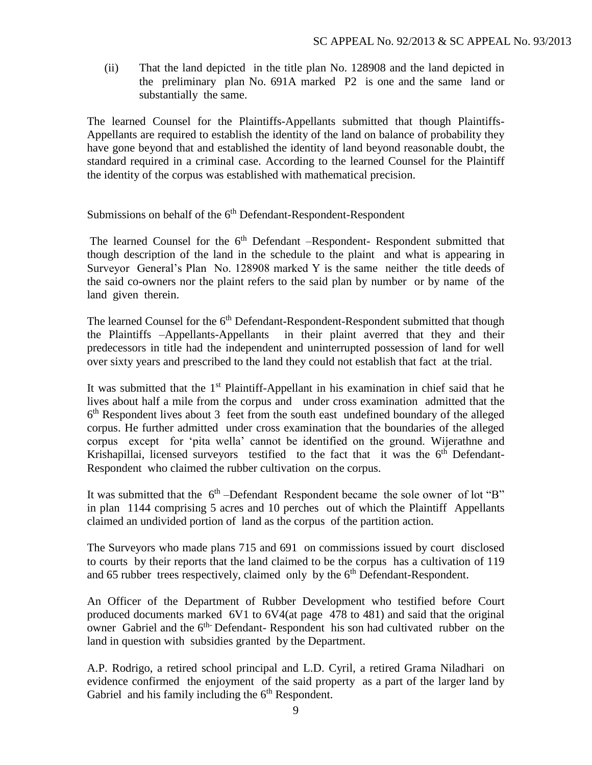(ii) That the land depicted in the title plan No. 128908 and the land depicted in the preliminary plan No. 691A marked P2 is one and the same land or substantially the same.

The learned Counsel for the Plaintiffs-Appellants submitted that though Plaintiffs-Appellants are required to establish the identity of the land on balance of probability they have gone beyond that and established the identity of land beyond reasonable doubt, the standard required in a criminal case. According to the learned Counsel for the Plaintiff the identity of the corpus was established with mathematical precision.

Submissions on behalf of the 6<sup>th</sup> Defendant-Respondent-Respondent

The learned Counsel for the  $6<sup>th</sup>$  Defendant –Respondent- Respondent submitted that though description of the land in the schedule to the plaint and what is appearing in Surveyor General's Plan No. 128908 marked Y is the same neither the title deeds of the said co-owners nor the plaint refers to the said plan by number or by name of the land given therein.

The learned Counsel for the 6<sup>th</sup> Defendant-Respondent-Respondent submitted that though the Plaintiffs –Appellants-Appellants in their plaint averred that they and their predecessors in title had the independent and uninterrupted possession of land for well over sixty years and prescribed to the land they could not establish that fact at the trial.

It was submitted that the 1<sup>st</sup> Plaintiff-Appellant in his examination in chief said that he lives about half a mile from the corpus and under cross examination admitted that the 6<sup>th</sup> Respondent lives about 3 feet from the south east undefined boundary of the alleged corpus. He further admitted under cross examination that the boundaries of the alleged corpus except for 'pita wella' cannot be identified on the ground. Wijerathne and Krishapillai, licensed surveyors testified to the fact that it was the 6<sup>th</sup> Defendant-Respondent who claimed the rubber cultivation on the corpus.

It was submitted that the  $6<sup>th</sup>$ -Defendant Respondent became the sole owner of lot "B" in plan 1144 comprising 5 acres and 10 perches out of which the Plaintiff Appellants claimed an undivided portion of land as the corpus of the partition action.

The Surveyors who made plans 715 and 691 on commissions issued by court disclosed to courts by their reports that the land claimed to be the corpus has a cultivation of 119 and 65 rubber trees respectively, claimed only by the  $6<sup>th</sup>$  Defendant-Respondent.

An Officer of the Department of Rubber Development who testified before Court produced documents marked 6V1 to 6V4(at page 478 to 481) and said that the original owner Gabriel and the  $6<sup>th</sup>$ -Defendant-Respondent his son had cultivated rubber on the land in question with subsidies granted by the Department.

A.P. Rodrigo, a retired school principal and L.D. Cyril, a retired Grama Niladhari on evidence confirmed the enjoyment of the said property as a part of the larger land by Gabriel and his family including the  $6<sup>th</sup>$  Respondent.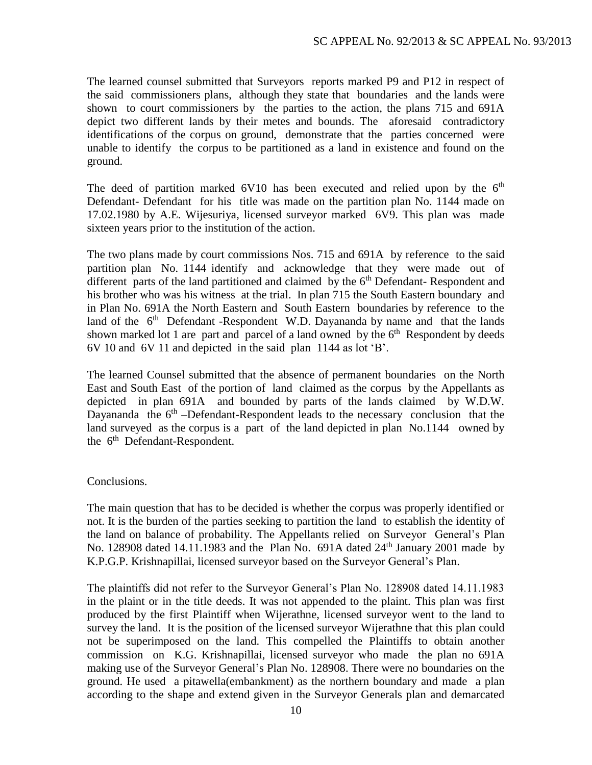The learned counsel submitted that Surveyors reports marked P9 and P12 in respect of the said commissioners plans, although they state that boundaries and the lands were shown to court commissioners by the parties to the action, the plans 715 and 691A depict two different lands by their metes and bounds. The aforesaid contradictory identifications of the corpus on ground, demonstrate that the parties concerned were unable to identify the corpus to be partitioned as a land in existence and found on the ground.

The deed of partition marked  $6V10$  has been executed and relied upon by the  $6<sup>th</sup>$ Defendant- Defendant for his title was made on the partition plan No. 1144 made on 17.02.1980 by A.E. Wijesuriya, licensed surveyor marked 6V9. This plan was made sixteen years prior to the institution of the action.

The two plans made by court commissions Nos. 715 and 691A by reference to the said partition plan No. 1144 identify and acknowledge that they were made out of different parts of the land partitioned and claimed by the  $6<sup>th</sup>$  Defendant-Respondent and his brother who was his witness at the trial. In plan 715 the South Eastern boundary and in Plan No. 691A the North Eastern and South Eastern boundaries by reference to the land of the  $6<sup>th</sup>$  Defendant -Respondent W.D. Dayananda by name and that the lands shown marked lot 1 are part and parcel of a land owned by the  $6<sup>th</sup>$  Respondent by deeds 6V 10 and 6V 11 and depicted in the said plan 1144 as lot 'B'.

The learned Counsel submitted that the absence of permanent boundaries on the North East and South East of the portion of land claimed as the corpus by the Appellants as depicted in plan 691A and bounded by parts of the lands claimed by W.D.W. Dayananda the 6<sup>th</sup> –Defendant-Respondent leads to the necessary conclusion that the land surveyed as the corpus is a part of the land depicted in plan No.1144 owned by the 6<sup>th</sup> Defendant-Respondent.

### Conclusions.

The main question that has to be decided is whether the corpus was properly identified or not. It is the burden of the parties seeking to partition the land to establish the identity of the land on balance of probability. The Appellants relied on Surveyor General's Plan No. 128908 dated 14.11.1983 and the Plan No.  $691A$  dated  $24<sup>th</sup>$  January 2001 made by K.P.G.P. Krishnapillai, licensed surveyor based on the Surveyor General's Plan.

The plaintiffs did not refer to the Surveyor General's Plan No. 128908 dated 14.11.1983 in the plaint or in the title deeds. It was not appended to the plaint. This plan was first produced by the first Plaintiff when Wijerathne, licensed surveyor went to the land to survey the land. It is the position of the licensed surveyor Wijerathne that this plan could not be superimposed on the land. This compelled the Plaintiffs to obtain another commission on K.G. Krishnapillai, licensed surveyor who made the plan no 691A making use of the Surveyor General's Plan No. 128908. There were no boundaries on the ground. He used a pitawella(embankment) as the northern boundary and made a plan according to the shape and extend given in the Surveyor Generals plan and demarcated